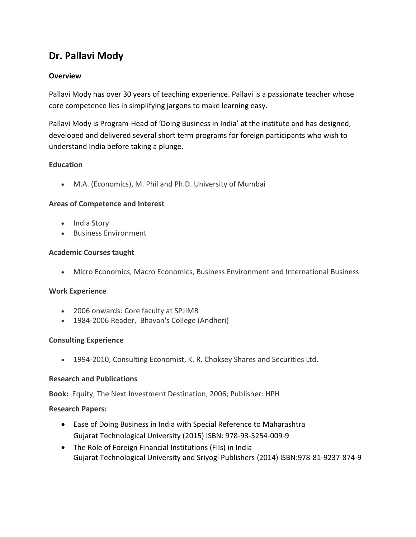# **Dr. Pallavi Mody**

## **Overview**

Pallavi Mody has over 30 years of teaching experience. Pallavi is a passionate teacher whose core competence lies in simplifying jargons to make learning easy.

Pallavi Mody is Program-Head of 'Doing Business in India' at the institute and has designed, developed and delivered several short term programs for foreign participants who wish to understand India before taking a plunge.

## **Education**

M.A. (Economics), M. Phil and Ph.D. University of Mumbai

#### **Areas of Competence and Interest**

- India Story
- Business Environment

#### **Academic Courses taught**

Micro Economics, Macro Economics, Business Environment and International Business

#### **Work Experience**

- 2006 onwards: Core faculty at SPJIMR
- 1984-2006 Reader, Bhavan's College (Andheri)

#### **Consulting Experience**

1994-2010, Consulting Economist, K. R. Choksey Shares and Securities Ltd.

#### **Research and Publications**

**Book:** Equity, The Next Investment Destination, 2006; Publisher: HPH

#### **Research Papers:**

- Ease of Doing Business in India with Special Reference to Maharashtra Gujarat Technological University (2015) ISBN: 978-93-5254-009-9
- The Role of Foreign Financial Institutions (FIIs) in India Gujarat Technological University and Sriyogi Publishers (2014) ISBN:978-81-9237-874-9